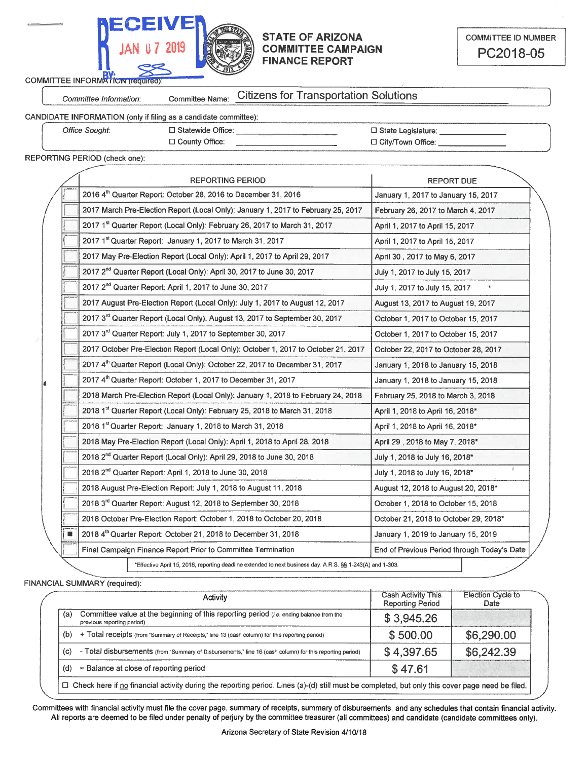

## **STATE OF ARIZONA COMMITTEE CAMPAIGN FINANCE REPORT**

COMMITTEE INFORMATION (requir

Committee Information:

**Citizens for Transportation Solutions** Committee Name:

CANDIDATE INFORMATION (only if filing

| as a candidate committee): |  |
|----------------------------|--|
|                            |  |

| Office Sought: | $\Box$ Statewide Office: | □ State Legislature: |
|----------------|--------------------------|----------------------|
|                |                          |                      |
|                | □ County Office:         | □ City/Town Office:  |
|                |                          |                      |

REPORTING PERIOD (check one):

| <b>REPORTING PERIOD</b>                                                                                    | <b>REPORT DUE</b>                           |
|------------------------------------------------------------------------------------------------------------|---------------------------------------------|
| 2016 4th Quarter Report: October 28, 2016 to December 31, 2016                                             | January 1, 2017 to January 15, 2017         |
| 2017 March Pre-Election Report (Local Only): January 1, 2017 to February 25, 2017                          | February 26, 2017 to March 4, 2017          |
| 2017 1st Quarter Report (Local Only): February 26, 2017 to March 31, 2017                                  | April 1, 2017 to April 15, 2017             |
| 2017 1st Quarter Report: January 1, 2017 to March 31, 2017                                                 | April 1, 2017 to April 15, 2017             |
| 2017 May Pre-Election Report (Local Only): April 1, 2017 to April 29, 2017                                 | April 30, 2017 to May 6, 2017               |
| 2017 2 <sup>nd</sup> Quarter Report (Local Only): April 30, 2017 to June 30, 2017                          | July 1, 2017 to July 15, 2017               |
| 2017 2 <sup>nd</sup> Quarter Report: April 1, 2017 to June 30, 2017                                        | July 1, 2017 to July 15, 2017               |
| 2017 August Pre-Election Report (Local Only): July 1, 2017 to August 12, 2017                              | August 13, 2017 to August 19, 2017          |
| 2017 3rd Quarter Report (Local Only): August 13, 2017 to September 30, 2017                                | October 1, 2017 to October 15, 2017         |
| 2017 3 <sup>rd</sup> Quarter Report: July 1, 2017 to September 30, 2017                                    | October 1, 2017 to October 15, 2017         |
| 2017 October Pre-Election Report (Local Only): October 1, 2017 to October 21, 2017                         | October 22, 2017 to October 28, 2017        |
| 2017 4 <sup>th</sup> Quarter Report (Local Only): October 22, 2017 to December 31, 2017                    | January 1, 2018 to January 15, 2018         |
| 2017 4th Quarter Report: October 1, 2017 to December 31, 2017                                              | January 1, 2018 to January 15, 2018         |
| 2018 March Pre-Election Report (Local Only): January 1, 2018 to February 24, 2018                          | February 25, 2018 to March 3, 2018          |
| 2018 1 <sup>st</sup> Quarter Report (Local Only): February 25, 2018 to March 31, 2018                      | April 1, 2018 to April 16, 2018*            |
| 2018 1st Quarter Report: January 1, 2018 to March 31, 2018                                                 | April 1, 2018 to April 16, 2018*            |
| 2018 May Pre-Election Report (Local Only): April 1, 2018 to April 28, 2018                                 | April 29, 2018 to May 7, 2018*              |
| 2018 2 <sup>nd</sup> Quarter Report (Local Only): April 29, 2018 to June 30, 2018                          | July 1, 2018 to July 16, 2018*              |
| 2018 2 <sup>nd</sup> Quarter Report: April 1, 2018 to June 30, 2018                                        | July 1, 2018 to July 16, 2018*              |
| 2018 August Pre-Election Report: July 1, 2018 to August 11, 2018                                           | August 12, 2018 to August 20, 2018*         |
| 2018 3 <sup>rd</sup> Quarter Report: August 12, 2018 to September 30, 2018                                 | October 1, 2018 to October 15, 2018         |
| 2018 October Pre-Election Report: October 1, 2018 to October 20, 2018                                      | October 21, 2018 to October 29, 2018*       |
| 2018 4th Quarter Report: October 21, 2018 to December 31, 2018                                             | January 1, 2019 to January 15, 2019         |
| Final Campaign Finance Report Prior to Committee Termination                                               | End of Previous Period through Today's Date |
| *Effective April 15, 2018, reporting deadline extended to next business day. A.R.S. §§ 1-243(A) and 1-303. |                                             |

FINANCIAL SUMMARY (required):

|           | Activity                                                                                                                      | <b>Cash Activity This</b><br><b>Reporting Period</b> | <b>Election Cycle to</b><br>Date |
|-----------|-------------------------------------------------------------------------------------------------------------------------------|------------------------------------------------------|----------------------------------|
| (a)       | Committee value at the beginning of this reporting period ( <i>i.e.</i> ending balance from the<br>previous reporting period) | \$3,945.26                                           |                                  |
| (b)       | + Total receipts (from "Summary of Receipts," line 13 (cash column) for this reporting period)                                | \$500.00                                             | \$6,290.00                       |
| (c)<br>٠. | Total disbursements (from "Summary of Disbursements," line 16 (cash column) for this reporting period)                        | \$4,397.65                                           | \$6,242.39                       |
| (d)       | $=$ Balance at close of reporting period                                                                                      | \$47.61                                              |                                  |

Committees with financial activity must file the cover page, summary of receipts, summary of disbursements, and any schedules that contain financial activity. All reports are deemed to be filed under penalty of perjury by the committee treasurer (all committees) and candidate (candidate committees only).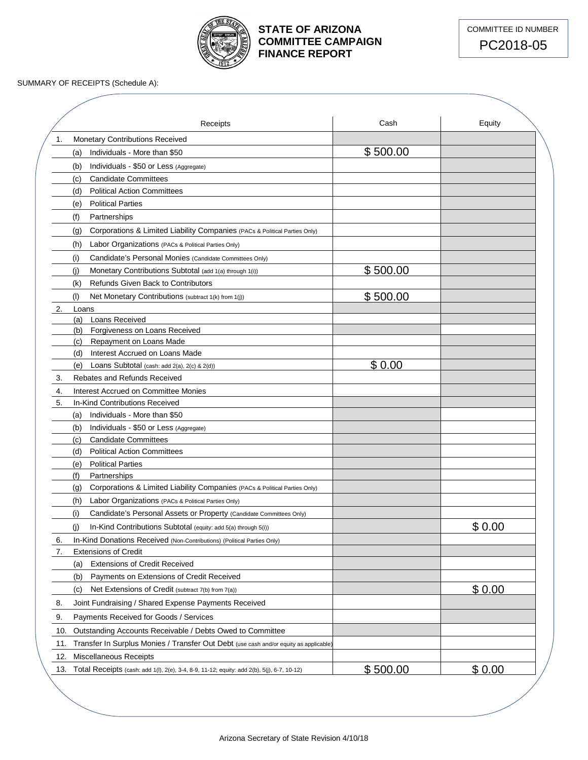

## **STATE OF ARIZONA COMMITTEE CAMPAIGN FINANCE REPORT**



SUMMARY OF RECEIPTS (Schedule A):

|     | Receipts                                                                                   | Cash     | Equity |
|-----|--------------------------------------------------------------------------------------------|----------|--------|
| 1.  | <b>Monetary Contributions Received</b>                                                     |          |        |
|     | Individuals - More than \$50<br>(a)                                                        | \$500.00 |        |
|     | Individuals - \$50 or Less (Aggregate)<br>(b)                                              |          |        |
|     | <b>Candidate Committees</b><br>(c)                                                         |          |        |
|     | <b>Political Action Committees</b><br>(d)                                                  |          |        |
|     | <b>Political Parties</b><br>(e)                                                            |          |        |
|     | (f)<br>Partnerships                                                                        |          |        |
|     | Corporations & Limited Liability Companies (PACs & Political Parties Only)<br>(g)          |          |        |
|     | (h)<br>Labor Organizations (PACs & Political Parties Only)                                 |          |        |
|     | (i)<br>Candidate's Personal Monies (Candidate Committees Only)                             |          |        |
|     | (j)<br>Monetary Contributions Subtotal (add 1(a) through 1(i))                             | \$500.00 |        |
|     | <b>Refunds Given Back to Contributors</b><br>(k)                                           |          |        |
|     | (1)<br>Net Monetary Contributions (subtract 1(k) from 1(j))                                | \$500.00 |        |
| 2.  | Loans                                                                                      |          |        |
|     | Loans Received<br>(a)                                                                      |          |        |
|     | Forgiveness on Loans Received<br>(b)                                                       |          |        |
|     | Repayment on Loans Made<br>(c)                                                             |          |        |
|     | Interest Accrued on Loans Made<br>(d)                                                      |          |        |
|     | Loans Subtotal (cash: add 2(a), 2(c) & 2(d))<br>(e)                                        | \$0.00   |        |
| 3.  | <b>Rebates and Refunds Received</b>                                                        |          |        |
| 4.  | Interest Accrued on Committee Monies                                                       |          |        |
| 5.  | In-Kind Contributions Received                                                             |          |        |
|     | Individuals - More than \$50<br>(a)                                                        |          |        |
|     | (b)<br>Individuals - \$50 or Less (Aggregate)                                              |          |        |
|     | <b>Candidate Committees</b><br>(c)                                                         |          |        |
|     | <b>Political Action Committees</b><br>(d)                                                  |          |        |
|     | <b>Political Parties</b><br>(e)                                                            |          |        |
|     | (f)<br>Partnerships                                                                        |          |        |
|     | Corporations & Limited Liability Companies (PACs & Political Parties Only)<br>(g)          |          |        |
|     | (h)<br>Labor Organizations (PACs & Political Parties Only)                                 |          |        |
|     | (i)<br>Candidate's Personal Assets or Property (Candidate Committees Only)                 |          |        |
|     | (j)<br>In-Kind Contributions Subtotal (equity: add 5(a) through 5(i))                      |          | \$0.00 |
| 6.  | In-Kind Donations Received (Non-Contributions) (Political Parties Only)                    |          |        |
| 7.  | <b>Extensions of Credit</b>                                                                |          |        |
|     | <b>Extensions of Credit Received</b><br>(a)                                                |          |        |
|     | Payments on Extensions of Credit Received<br>(b)                                           |          |        |
|     | (c)<br>Net Extensions of Credit (subtract 7(b) from 7(a))                                  |          | \$0.00 |
| 8.  | Joint Fundraising / Shared Expense Payments Received                                       |          |        |
| 9.  | Payments Received for Goods / Services                                                     |          |        |
| 10. | Outstanding Accounts Receivable / Debts Owed to Committee                                  |          |        |
| 11. | Transfer In Surplus Monies / Transfer Out Debt (use cash and/or equity as applicable)      |          |        |
| 12. | Miscellaneous Receipts                                                                     |          |        |
| 13. | Total Receipts (cash: add 1(I), 2(e), 3-4, 8-9, 11-12; equity: add 2(b), 5(j), 6-7, 10-12) | \$500.00 | \$0.00 |
|     |                                                                                            |          |        |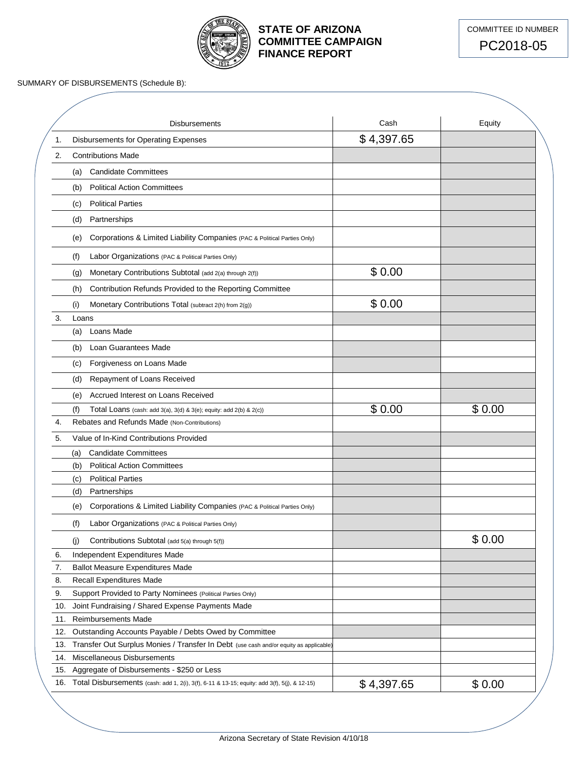

# **STATE OF ARIZONA COMMITTEE CAMPAIGN FINANCE REPORT**



SUMMARY OF DISBURSEMENTS (Schedule B):

|     | Disbursements                                                                                                                          | Cash       | Equity |
|-----|----------------------------------------------------------------------------------------------------------------------------------------|------------|--------|
| 1.  | Disbursements for Operating Expenses                                                                                                   | \$4,397.65 |        |
| 2.  | <b>Contributions Made</b>                                                                                                              |            |        |
|     | <b>Candidate Committees</b><br>(a)                                                                                                     |            |        |
|     | <b>Political Action Committees</b><br>(b)                                                                                              |            |        |
|     | <b>Political Parties</b><br>(c)                                                                                                        |            |        |
|     |                                                                                                                                        |            |        |
|     | Partnerships<br>(d)                                                                                                                    |            |        |
|     | Corporations & Limited Liability Companies (PAC & Political Parties Only)<br>(e)                                                       |            |        |
|     | Labor Organizations (PAC & Political Parties Only)<br>(f)                                                                              |            |        |
|     | Monetary Contributions Subtotal (add 2(a) through 2(f))<br>(g)                                                                         | \$0.00     |        |
|     | Contribution Refunds Provided to the Reporting Committee<br>(h)                                                                        |            |        |
|     | Monetary Contributions Total (subtract 2(h) from 2(g))<br>(i)                                                                          | \$0.00     |        |
| 3.  | Loans                                                                                                                                  |            |        |
|     | Loans Made<br>(a)                                                                                                                      |            |        |
|     | Loan Guarantees Made<br>(b)                                                                                                            |            |        |
|     | Forgiveness on Loans Made<br>(c)                                                                                                       |            |        |
|     | Repayment of Loans Received<br>(d)                                                                                                     |            |        |
|     |                                                                                                                                        |            |        |
|     | Accrued Interest on Loans Received<br>(e)                                                                                              | \$0.00     | \$0.00 |
| 4.  | (f)<br>Total Loans (cash: add $3(a)$ , $3(d)$ & $3(e)$ ; equity: add $2(b)$ & $2(c)$ )<br>Rebates and Refunds Made (Non-Contributions) |            |        |
| 5.  | Value of In-Kind Contributions Provided                                                                                                |            |        |
|     |                                                                                                                                        |            |        |
|     | <b>Candidate Committees</b><br>(a)<br><b>Political Action Committees</b>                                                               |            |        |
|     | (b)<br><b>Political Parties</b>                                                                                                        |            |        |
|     | (c)                                                                                                                                    |            |        |
|     | Partnerships<br>(d)                                                                                                                    |            |        |
|     | Corporations & Limited Liability Companies (PAC & Political Parties Only)<br>(e)                                                       |            |        |
|     | (f)<br>Labor Organizations (PAC & Political Parties Only)                                                                              |            |        |
|     | Contributions Subtotal (add 5(a) through 5(f))<br>(j)                                                                                  |            | \$0.00 |
| 6.  | Independent Expenditures Made                                                                                                          |            |        |
| 7.  | <b>Ballot Measure Expenditures Made</b>                                                                                                |            |        |
| 8.  | <b>Recall Expenditures Made</b>                                                                                                        |            |        |
| 9.  | Support Provided to Party Nominees (Political Parties Only)                                                                            |            |        |
| 10. | Joint Fundraising / Shared Expense Payments Made                                                                                       |            |        |
| 11. | <b>Reimbursements Made</b>                                                                                                             |            |        |
| 12. | Outstanding Accounts Payable / Debts Owed by Committee                                                                                 |            |        |
| 13. | Transfer Out Surplus Monies / Transfer In Debt (use cash and/or equity as applicable)                                                  |            |        |
| 14. | Miscellaneous Disbursements                                                                                                            |            |        |
| 15. | Aggregate of Disbursements - \$250 or Less                                                                                             |            |        |
| 16. | Total Disbursements (cash: add 1, 2(i), 3(f), 6-11 & 13-15; equity: add 3(f), 5(j), & 12-15)                                           | \$4,397.65 | \$0.00 |
|     |                                                                                                                                        |            |        |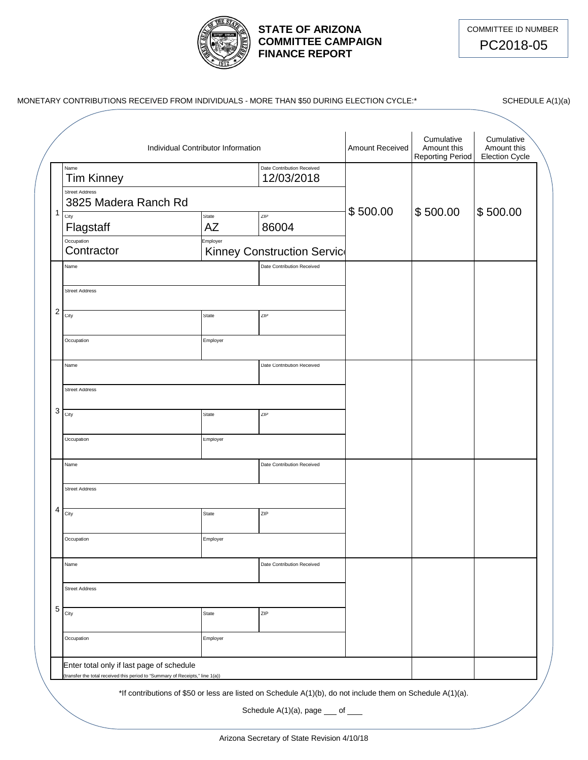

## **STATE OF ARIZONA COMMITTEE CAMPAIGN FINANCE REPORT**



|                | Individual Contributor Information            | <b>Amount Received</b> | Cumulative<br>Amount this<br><b>Reporting Period</b> | Cumulative<br>Amount this<br><b>Election Cycle</b> |          |          |
|----------------|-----------------------------------------------|------------------------|------------------------------------------------------|----------------------------------------------------|----------|----------|
|                | Name<br><b>Tim Kinney</b>                     |                        | Date Contribution Received<br>12/03/2018             |                                                    |          |          |
|                | <b>Street Address</b><br>3825 Madera Ranch Rd |                        |                                                      | \$500.00                                           | \$500.00 | \$500.00 |
| $\mathbf{1}$   | City<br>Flagstaff                             | State<br>AZ            | ZIP<br>86004                                         |                                                    |          |          |
|                | Occupation<br>Contractor                      | Employer               | Kinney Construction Servic                           |                                                    |          |          |
|                | Name                                          |                        | Date Contribution Received                           |                                                    |          |          |
|                | <b>Street Address</b>                         |                        |                                                      |                                                    |          |          |
| $\overline{c}$ | City                                          | State                  | ZIP                                                  |                                                    |          |          |
|                | Occupation                                    | Employer               |                                                      |                                                    |          |          |
|                | Name                                          |                        | Date Contribution Received                           |                                                    |          |          |
|                | <b>Street Address</b>                         |                        |                                                      |                                                    |          |          |
| 3              | City                                          | State                  | ZIP                                                  |                                                    |          |          |
|                | Occupation                                    | Employer               |                                                      |                                                    |          |          |
|                | Name                                          |                        | Date Contribution Received                           |                                                    |          |          |
|                | <b>Street Address</b>                         |                        |                                                      |                                                    |          |          |
| 4              | City                                          | State                  | ZIP                                                  |                                                    |          |          |
|                | Occupation                                    | Employer               |                                                      |                                                    |          |          |
|                | Name                                          |                        | Date Contribution Received                           |                                                    |          |          |
|                | <b>Street Address</b>                         |                        |                                                      |                                                    |          |          |
| 5              | City                                          | State                  | ZIP                                                  |                                                    |          |          |
|                | Occupation                                    | Employer               |                                                      |                                                    |          |          |
|                | Enter total only if last page of schedule     |                        |                                                      |                                                    |          |          |

Schedule  $A(1)(a)$ , page  $\underline{\hspace{1cm}}$  of  $\underline{\hspace{1cm}}$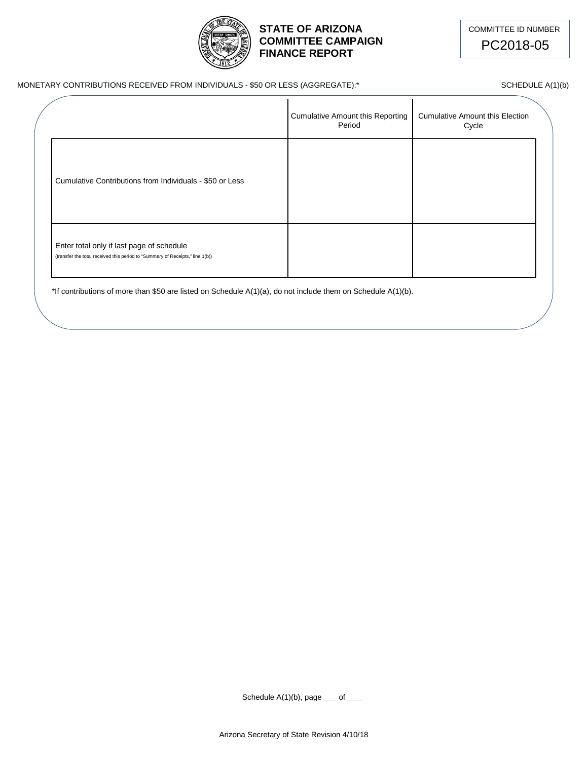

## **STATE OF ARIZONA** COMMITTEE ID NUMBER **COMMITTEE CAMPAIGN FINANCE REPORT**

PC2018-05

#### MONETARY CONTRIBUTIONS RECEIVED FROM INDIVIDUALS - \$50 OR LESS (AGGREGATE):\* SCHEDULE A(1)(b)

|                                                                                                                            | Cumulative Amount this Reporting<br>Period | <b>Cumulative Amount this Election</b><br>Cycle |  |
|----------------------------------------------------------------------------------------------------------------------------|--------------------------------------------|-------------------------------------------------|--|
| Cumulative Contributions from Individuals - \$50 or Less                                                                   |                                            |                                                 |  |
| Enter total only if last page of schedule<br>(transfer the total received this period to "Summary of Receipts," line 1(b)) |                                            |                                                 |  |

\*If contributions of more than \$50 are listed on Schedule A(1)(a), do not include them on Schedule A(1)(b).

Schedule  $A(1)(b)$ , page  $\_\_$  of  $\_\_$